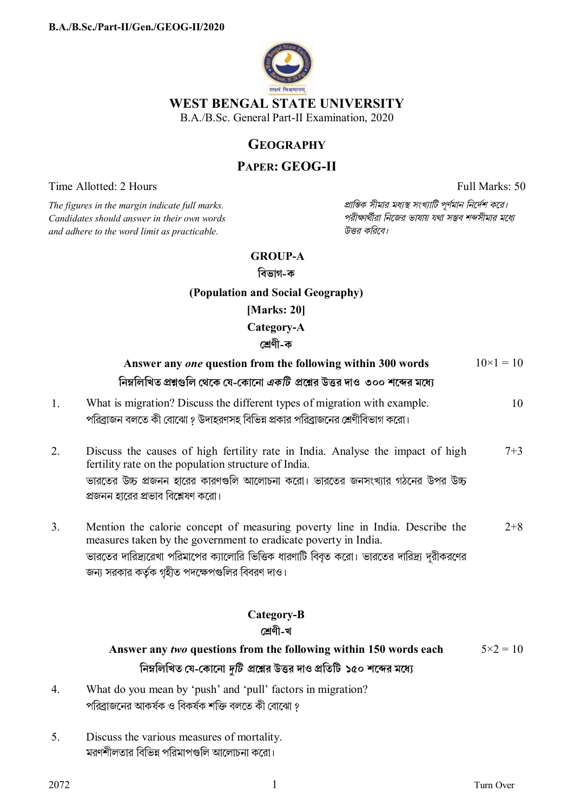

### **WEST BENGAL STATE UNIVERSITY**

B.A./B.Sc. General Part-II Examination, 2020

# **GEOGRAPHY**

## **PAPER: GEOG-II**

Time Allotted: 2 Hours Full Marks: 50

 $C$ *andidates should answer in their own words and adhere to the word limit as practicable. উtর কিরেব।*

*The figures in the margin indicate full marks. pািnক সীমার মধ°s সংখ°ািট পূণমান িনেদশ কের।*

### **GROUP-A**

**িবভাগ-ক**

## **(Population and Social Geography)**

**[Marks: 20]** 

**Category-A** 

## **েËণী-ক**

|    | Answer any one question from the following within 300 words                                                                                                | $10\times1=10$    |
|----|------------------------------------------------------------------------------------------------------------------------------------------------------------|-------------------|
|    | নিম্নলিখিত প্রশ্নগুলি থেকে যে-কোনো <i>একটি প্রশ্নে</i> র উত্তর দাও  ৩০০ শব্দের মধ্যে                                                                       |                   |
| 1. | What is migration? Discuss the different types of migration with example.<br>পরিব্রাজন বলতে কী বোঝো ? উদাহরণসহ বিভিন্ন প্রকার পরিব্রাজনের শ্রেণীবিভাগ করো। | 10                |
| 2. | Discuss the causes of high fertility rate in India. Analyse the impact of high<br>fertility rate on the population structure of India.                     | $7 + 3$           |
|    | ভারতের উচ্চ প্রজনন হারের কারণগুলি আলোচনা করো। ভারতের জনসংখ্যার গঠনের উপর উচ্চ<br>প্রজনন হারের প্রভাব বিশ্লেষণ করো।                                         |                   |
| 3. | Mention the calorie concept of measuring poverty line in India. Describe the<br>measures taken by the government to eradicate poverty in India.            | $2 + 8$           |
|    | ভারতের দারিদ্র্যরেখা পরিমাপের ক্যালোরি ভিত্তিক ধারণাটি বিবৃত করো। ভারতের দারিদ্র্য দূরীকরণের<br>জন্য সরকার কর্তৃক গৃহীত পদক্ষেপগুলির বিবরণ দাও।            |                   |
|    | Category-B                                                                                                                                                 |                   |
|    | শ্ৰেণী-খ                                                                                                                                                   |                   |
|    | Answer any two questions from the following within 150 words each                                                                                          | $5 \times 2 = 10$ |
|    | নিম্নলিখিত যে-কোনো দুটি প্রশ্নের উত্তর দাও প্রতিটি ১৫০ শব্দের মধ্যে                                                                                        |                   |
| 4. | What do you mean by 'push' and 'pull' factors in migration?                                                                                                |                   |
|    | পরিব্রাজনের আকর্ষক ও বিকর্ষক শক্তি বলতে কী বোঝো ?                                                                                                          |                   |

5. Discuss the various measures of mortality. মরণশীলতার বিভিন্ন পরিমাপগুলি আলোচনা করো।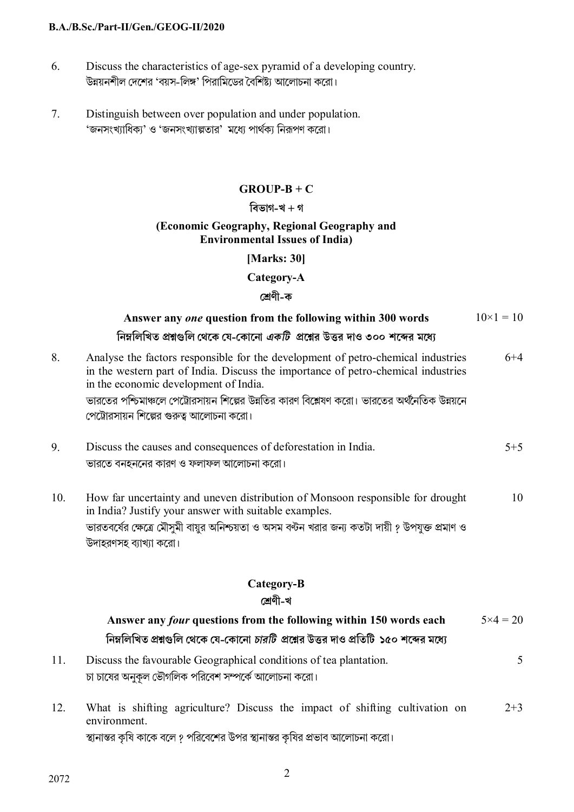#### **B.A./B.Sc./Part-II/Gen./GEOG-II/2020**

- 6. Discuss the characteristics of age-sex pyramid of a developing country. উন্নয়নশীল দেশের 'বয়স-লিঙ্গ' পিরামিডের বৈশিষ্ট্য আলোচনা করো।
- 7. Distinguish between over population and under population. 'জনসংখ্যাধিক্য' ও 'জনসংখ্যাল্পতার' মধ্যে পার্থক্য নিরূপণ করো।

### **GROUP-B + C**

### **িবভাগ-খ + গ**

#### **(Economic Geography, Regional Geography and Environmental Issues of India)**

### **[Marks: 30]**

### **Category-A**

## **েËণী-ক**

|     | Answer any one question from the following within 300 words                                                                                                                                                                                                                                                                                                 | $10\times1=10$    |
|-----|-------------------------------------------------------------------------------------------------------------------------------------------------------------------------------------------------------------------------------------------------------------------------------------------------------------------------------------------------------------|-------------------|
|     | নিম্নলিখিত প্রশ্নগুলি থেকে যে-কোনো <i>একটি</i> প্রশ্নের উত্তর দাও ৩০০ শব্দের মধ্যে                                                                                                                                                                                                                                                                          |                   |
| 8.  | Analyse the factors responsible for the development of petro-chemical industries<br>in the western part of India. Discuss the importance of petro-chemical industries<br>in the economic development of India.<br>ভারতের পশ্চিমাঞ্চলে পেট্রোরসায়ন শিল্পের উন্নতির কারণ বিশ্লেষণ করো। ভারতের অর্থনৈতিক উন্নয়নে<br>পেট্রোরসায়ন শিল্পের গুরুত্ব আলোচনা করো। | $6 + 4$           |
| 9.  | Discuss the causes and consequences of deforestation in India.<br>ভারতে বনহননের কারণ ও ফলাফল আলোচনা করো।                                                                                                                                                                                                                                                    | $5 + 5$           |
| 10. | How far uncertainty and uneven distribution of Monsoon responsible for drought<br>in India? Justify your answer with suitable examples.<br>ভারতবর্ষের ক্ষেত্রে মৌসুমী বায়ুর অনিশ্চয়তা ও অসম বন্টন খরার জন্য কতটা দায়ী ? উপযুক্ত প্রমাণ ও<br>উদাহরণসহ ব্যাখ্যা করো।                                                                                       | 10                |
|     | Category-B                                                                                                                                                                                                                                                                                                                                                  |                   |
|     | শ্ৰেণী-খ                                                                                                                                                                                                                                                                                                                                                    |                   |
|     | Answer any <i>four</i> questions from the following within 150 words each<br>নিম্নলিখিত প্রশ্নগুলি থেকে যে-কোনো <i>চারটি প্রশ্নে</i> র উত্তর দাও প্রতিটি ১৫০ শব্দের মধ্যে                                                                                                                                                                                   | $5 \times 4 = 20$ |
| 11. | Discuss the favourable Geographical conditions of tea plantation.<br>চা চাষের অনুকূল ভৌগলিক পরিবেশ সম্পর্কে আলোচনা করো।                                                                                                                                                                                                                                     | 5                 |
| 12. | What is shifting agriculture? Discuss the impact of shifting cultivation on<br>environment.<br>স্থানান্তর কৃষি কাকে বলে ? পরিবেশের উপর স্থানান্তর কৃষির প্রভাব আলোচনা করো।                                                                                                                                                                                  | $2 + 3$           |

 $2072$  2